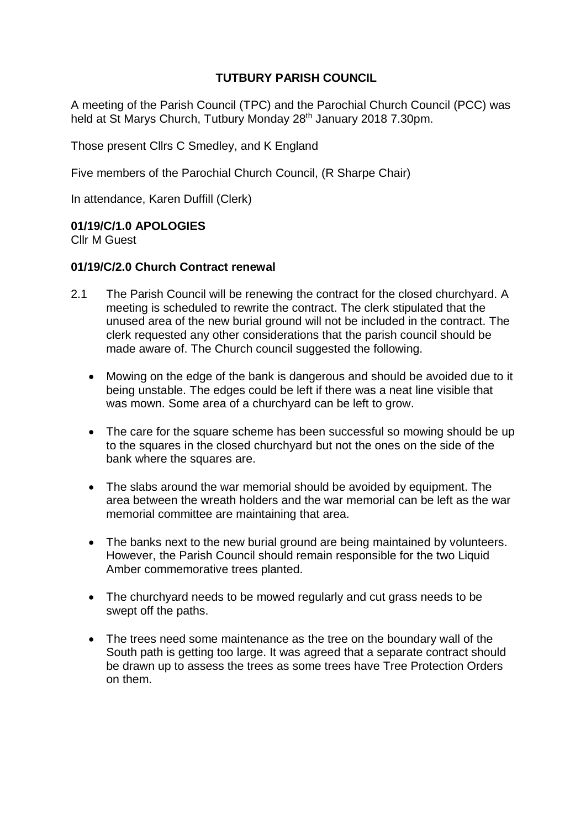# **TUTBURY PARISH COUNCIL**

A meeting of the Parish Council (TPC) and the Parochial Church Council (PCC) was held at St Marys Church, Tutbury Monday 28<sup>th</sup> January 2018 7.30pm.

Those present Cllrs C Smedley, and K England

Five members of the Parochial Church Council, (R Sharpe Chair)

In attendance, Karen Duffill (Clerk)

#### **01/19/C/1.0 APOLOGIES**

Cllr M Guest

#### **01/19/C/2.0 Church Contract renewal**

- 2.1 The Parish Council will be renewing the contract for the closed churchyard. A meeting is scheduled to rewrite the contract. The clerk stipulated that the unused area of the new burial ground will not be included in the contract. The clerk requested any other considerations that the parish council should be made aware of. The Church council suggested the following.
	- Mowing on the edge of the bank is dangerous and should be avoided due to it being unstable. The edges could be left if there was a neat line visible that was mown. Some area of a churchyard can be left to grow.
	- The care for the square scheme has been successful so mowing should be up to the squares in the closed churchyard but not the ones on the side of the bank where the squares are.
	- The slabs around the war memorial should be avoided by equipment. The area between the wreath holders and the war memorial can be left as the war memorial committee are maintaining that area.
	- The banks next to the new burial ground are being maintained by volunteers. However, the Parish Council should remain responsible for the two Liquid Amber commemorative trees planted.
	- The churchyard needs to be mowed regularly and cut grass needs to be swept off the paths.
	- The trees need some maintenance as the tree on the boundary wall of the South path is getting too large. It was agreed that a separate contract should be drawn up to assess the trees as some trees have Tree Protection Orders on them.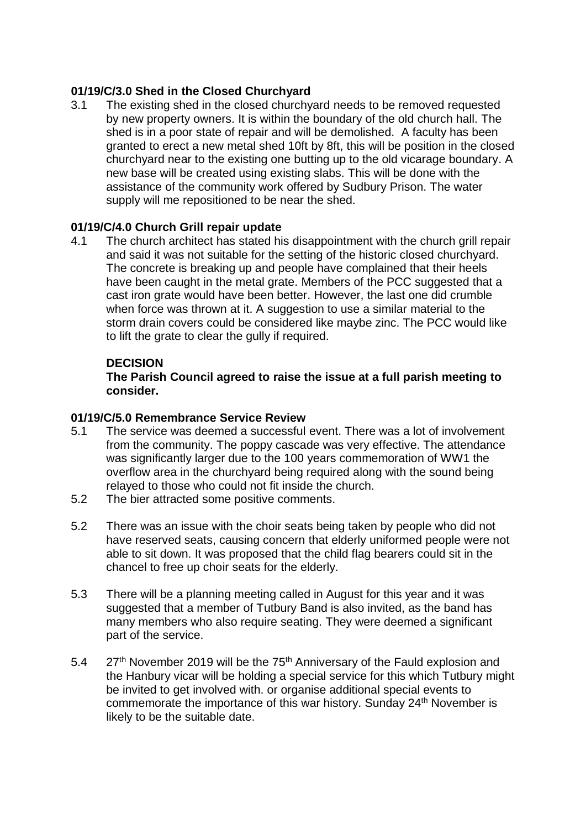# **01/19/C/3.0 Shed in the Closed Churchyard**

3.1 The existing shed in the closed churchyard needs to be removed requested by new property owners. It is within the boundary of the old church hall. The shed is in a poor state of repair and will be demolished. A faculty has been granted to erect a new metal shed 10ft by 8ft, this will be position in the closed churchyard near to the existing one butting up to the old vicarage boundary. A new base will be created using existing slabs. This will be done with the assistance of the community work offered by Sudbury Prison. The water supply will me repositioned to be near the shed.

### **01/19/C/4.0 Church Grill repair update**

4.1 The church architect has stated his disappointment with the church grill repair and said it was not suitable for the setting of the historic closed churchyard. The concrete is breaking up and people have complained that their heels have been caught in the metal grate. Members of the PCC suggested that a cast iron grate would have been better. However, the last one did crumble when force was thrown at it. A suggestion to use a similar material to the storm drain covers could be considered like maybe zinc. The PCC would like to lift the grate to clear the gully if required.

### **DECISION**

**The Parish Council agreed to raise the issue at a full parish meeting to consider.**

### **01/19/C/5.0 Remembrance Service Review**

- 5.1 The service was deemed a successful event. There was a lot of involvement from the community. The poppy cascade was very effective. The attendance was significantly larger due to the 100 years commemoration of WW1 the overflow area in the churchyard being required along with the sound being relayed to those who could not fit inside the church.
- 5.2 The bier attracted some positive comments.
- 5.2 There was an issue with the choir seats being taken by people who did not have reserved seats, causing concern that elderly uniformed people were not able to sit down. It was proposed that the child flag bearers could sit in the chancel to free up choir seats for the elderly.
- 5.3 There will be a planning meeting called in August for this year and it was suggested that a member of Tutbury Band is also invited, as the band has many members who also require seating. They were deemed a significant part of the service.
- $5.4$ 27<sup>th</sup> November 2019 will be the 75<sup>th</sup> Anniversary of the Fauld explosion and the Hanbury vicar will be holding a special service for this which Tutbury might be invited to get involved with. or organise additional special events to commemorate the importance of this war history. Sunday 24<sup>th</sup> November is likely to be the suitable date.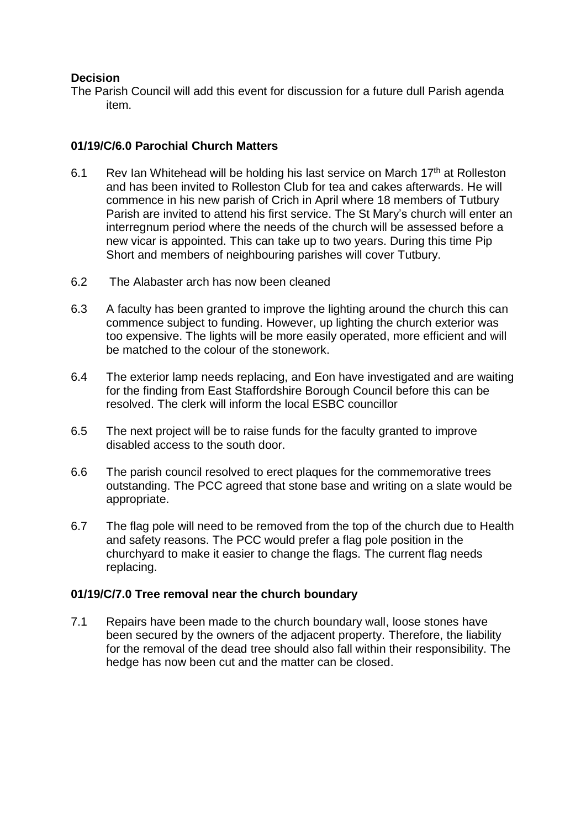## **Decision**

The Parish Council will add this event for discussion for a future dull Parish agenda item.

# **01/19/C/6.0 Parochial Church Matters**

- 6.1 Rev Ian Whitehead will be holding his last service on March 17<sup>th</sup> at Rolleston and has been invited to Rolleston Club for tea and cakes afterwards. He will commence in his new parish of Crich in April where 18 members of Tutbury Parish are invited to attend his first service. The St Mary's church will enter an interregnum period where the needs of the church will be assessed before a new vicar is appointed. This can take up to two years. During this time Pip Short and members of neighbouring parishes will cover Tutbury.
- 6.2 The Alabaster arch has now been cleaned
- 6.3 A faculty has been granted to improve the lighting around the church this can commence subject to funding. However, up lighting the church exterior was too expensive. The lights will be more easily operated, more efficient and will be matched to the colour of the stonework.
- 6.4 The exterior lamp needs replacing, and Eon have investigated and are waiting for the finding from East Staffordshire Borough Council before this can be resolved. The clerk will inform the local ESBC councillor
- 6.5 The next project will be to raise funds for the faculty granted to improve disabled access to the south door.
- 6.6 The parish council resolved to erect plaques for the commemorative trees outstanding. The PCC agreed that stone base and writing on a slate would be appropriate.
- 6.7 The flag pole will need to be removed from the top of the church due to Health and safety reasons. The PCC would prefer a flag pole position in the churchyard to make it easier to change the flags. The current flag needs replacing.

### **01/19/C/7.0 Tree removal near the church boundary**

7.1 Repairs have been made to the church boundary wall, loose stones have been secured by the owners of the adjacent property. Therefore, the liability for the removal of the dead tree should also fall within their responsibility. The hedge has now been cut and the matter can be closed.